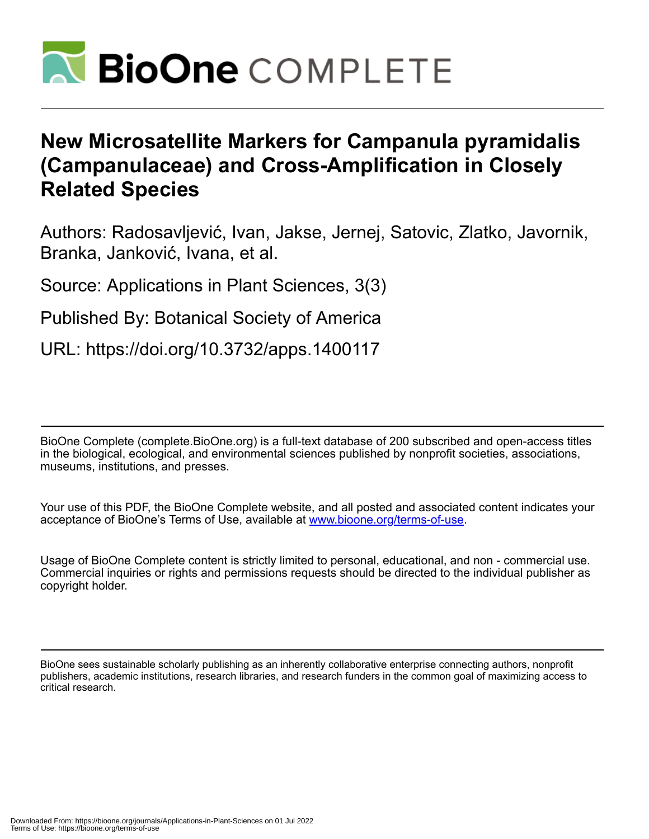

# **New Microsatellite Markers for Campanula pyramidalis (Campanulaceae) and Cross-Amplification in Closely Related Species**

Authors: Radosavljević, Ivan, Jakse, Jernej, Satovic, Zlatko, Javornik, Branka, Janković, Ivana, et al.

Source: Applications in Plant Sciences, 3(3)

Published By: Botanical Society of America

URL: https://doi.org/10.3732/apps.1400117

BioOne Complete (complete.BioOne.org) is a full-text database of 200 subscribed and open-access titles in the biological, ecological, and environmental sciences published by nonprofit societies, associations, museums, institutions, and presses.

Your use of this PDF, the BioOne Complete website, and all posted and associated content indicates your acceptance of BioOne's Terms of Use, available at www.bioone.org/terms-of-use.

Usage of BioOne Complete content is strictly limited to personal, educational, and non - commercial use. Commercial inquiries or rights and permissions requests should be directed to the individual publisher as copyright holder.

BioOne sees sustainable scholarly publishing as an inherently collaborative enterprise connecting authors, nonprofit publishers, academic institutions, research libraries, and research funders in the common goal of maximizing access to critical research.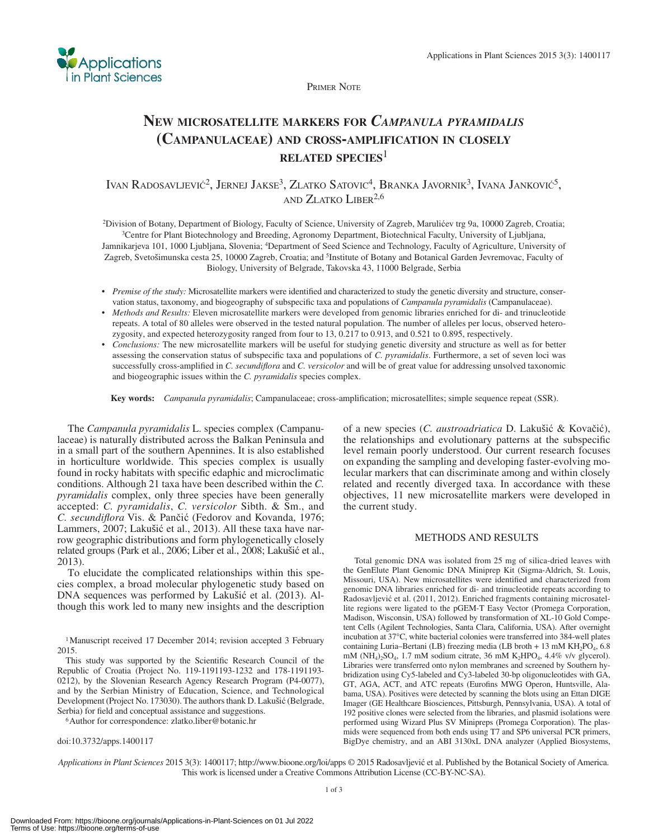

PRIMER NOTE

## **NEW MICROSATELLITE MARKERS FOR** *CAMPANULA PYRAMIDALIS*  **(CAMPANULACEAE) AND CROSS-AMPLIFICATION IN CLOSELY RELATED SPECIES**<sup>1</sup>

IVAN RADOSAVLJEVIĆ<sup>2</sup>, JERNEJ JAKSE<sup>3</sup>, ZLATKO SATOVIC<sup>4</sup>, BRANKA JAVORNIK<sup>3</sup>, IVANA JANKOVIĆ<sup>5</sup>, AND ZLATKO LIBER<sup>2,6</sup>

<sup>2</sup>Division of Botany, Department of Biology, Faculty of Science, University of Zagreb, Marulićev trg 9a, 10000 Zagreb, Croatia;<br><sup>3</sup>Centre for Plant Biotechnology and Breeding, Agronomy Department, Biotechnical Faculty, Un Jamnikarjeva 101, 1000 Ljubljana, Slovenia; <sup>4</sup>Department of Seed Science and Technology, Faculty of Agriculture, University of Zagreb, Svetošimunska cesta 25, 10000 Zagreb, Croatia; and <sup>5</sup>Institute of Botany and Botanical Garden Jevremovac, Faculty of Biology, University of Belgrade, Takovska 43, 11000 Belgrade, Serbia

- Premise of the study: Microsatellite markers were identified and characterized to study the genetic diversity and structure, conservation status, taxonomy, and biogeography of subspecific taxa and populations of *Campanula pyramidalis* (Campanulaceae).
- *Methods and Results:* Eleven microsatellite markers were developed from genomic libraries enriched for di- and trinucleotide repeats. A total of 80 alleles were observed in the tested natural population. The number of alleles per locus, observed heterozygosity, and expected heterozygosity ranged from four to 13, 0.217 to 0.913, and 0.521 to 0.895, respectively.
- *Conclusions:* The new microsatellite markers will be useful for studying genetic diversity and structure as well as for better assessing the conservation status of subspecific taxa and populations of *C. pyramidalis*. Furthermore, a set of seven loci was successfully cross-amplified in *C. secundiflora* and *C. versicolor* and will be of great value for addressing unsolved taxonomic and biogeographic issues within the *C. pyramidalis* species complex.

Key words: *Campanula pyramidalis*; Campanulaceae; cross-amplification; microsatellites; simple sequence repeat (SSR).

 The *Campanula pyramidalis* L. species complex (Campanulaceae) is naturally distributed across the Balkan Peninsula and in a small part of the southern Apennines. It is also established in horticulture worldwide. This species complex is usually found in rocky habitats with specific edaphic and microclimatic conditions. Although 21 taxa have been described within the *C. pyramidalis* complex, only three species have been generally accepted: *C. pyramidalis* , *C. versicolor* Sibth. & Sm., and *C. secundiflora* Vis. & Pančić (Fedorov and Kovanda, 1976; Lammers, 2007; Lakušić et al., 2013). All these taxa have narrow geographic distributions and form phylogenetically closely related groups (Park et al., 2006; Liber et al., 2008; Lakušić et al., 2013 ).

 To elucidate the complicated relationships within this species complex, a broad molecular phylogenetic study based on DNA sequences was performed by Lakušić et al. (2013). Although this work led to many new insights and the description

<sup>1</sup> Manuscript received 17 December 2014; revision accepted 3 February 2015.

This study was supported by the Scientific Research Council of the Republic of Croatia (Project No. 119-1191193-1232 and 178-1191193- 0212), by the Slovenian Research Agency Research Program (P4-0077), and by the Serbian Ministry of Education, Science, and Technological Development (Project No. 173030). The authors thank D. Lakušić (Belgrade, Serbia) for field and conceptual assistance and suggestions. <br><sup>6</sup> Author for correspondence: zlatko.liber@botanic.hr

doi:10.3732/apps.1400117

of a new species (*C. austroadriatica* D. Lakušić & Kovačić), the relationships and evolutionary patterns at the subspecific level remain poorly understood. Our current research focuses on expanding the sampling and developing faster-evolving molecular markers that can discriminate among and within closely related and recently diverged taxa. In accordance with these objectives, 11 new microsatellite markers were developed in the current study.

### METHODS AND RESULTS

 Total genomic DNA was isolated from 25 mg of silica-dried leaves with the GenElute Plant Genomic DNA Miniprep Kit (Sigma-Aldrich, St. Louis, Missouri, USA). New microsatellites were identified and characterized from genomic DNA libraries enriched for di- and trinucleotide repeats according to Radosavljević et al. (2011, 2012). Enriched fragments containing microsatellite regions were ligated to the pGEM-T Easy Vector (Promega Corporation, Madison, Wisconsin, USA) followed by transformation of XL-10 Gold Competent Cells (Agilent Technologies, Santa Clara, California, USA). After overnight incubation at 37°C, white bacterial colonies were transferred into 384-well plates containing Luria–Bertani (LB) freezing media (LB broth + 13 mM  $KH_2PO_4$ , 6.8 mM ( $NH_4$ )<sub>2</sub>SO<sub>4</sub>, 1.7 mM sodium citrate, 36 mM K<sub>2</sub>HPO<sub>4</sub>, 4.4% v/v glycerol). Libraries were transferred onto nylon membranes and screened by Southern hybridization using Cy5-labeled and Cy3-labeled 30-bp oligonucleotides with GA, GT, AGA, ACT, and ATC repeats (Eurofins MWG Operon, Huntsville, Alabama, USA). Positives were detected by scanning the blots using an Ettan DIGE Imager (GE Healthcare Biosciences, Pittsburgh, Pennsylvania, USA). A total of 192 positive clones were selected from the libraries, and plasmid isolations were performed using Wizard Plus SV Minipreps (Promega Corporation). The plasmids were sequenced from both ends using T7 and SP6 universal PCR primers, BigDye chemistry, and an ABI 3130xL DNA analyzer (Applied Biosystems,

Applications in Plant Sciences 2015 3(3): 1400117; http://www.bioone.org/loi/apps © 2015 Radosavljević et al. Published by the Botanical Society of America. This work is licensed under a Creative Commons Attribution License (CC-BY-NC-SA).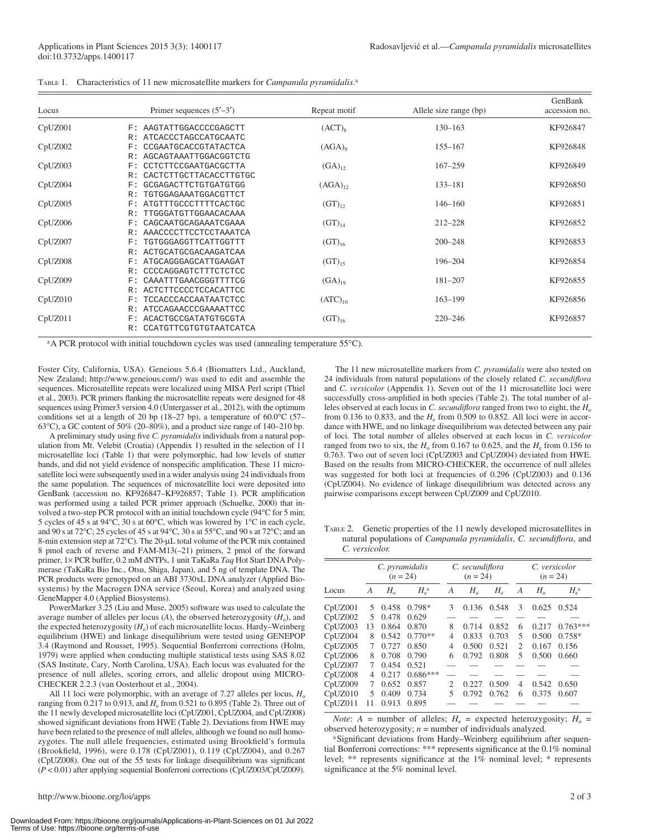| Locus   | Primer sequences $(5'–3')$                  | Repeat motif       | Allele size range (bp) | GenBank<br>accession no. |
|---------|---------------------------------------------|--------------------|------------------------|--------------------------|
| CpUZ001 | AAGTATTGGACCCCGAGCTT<br>F:                  | $(ACT)_{8}$        | $130 - 163$            | KF926847                 |
|         | ATCACCCTAGCCATGCAATC<br>R:                  |                    |                        |                          |
| CpUZ002 | CCGAATGCACCGTATACTCA<br>F:                  | (AGA) <sub>0</sub> | $155 - 167$            | KF926848                 |
|         | AGCAGTAAATTGGACGGTCTG<br>R:                 |                    |                        |                          |
| CpUZ003 | CCTCTTCCGAATGACGCTTA<br>$_{\rm F}$ :        | $(GA)_{12}$        | $167 - 259$            | KF926849                 |
|         | CACTCTTGCTTACACCTTGTGC<br>R:                |                    |                        |                          |
| CpUZ004 | GCGAGACTTCTGTGATGTGG<br>$_{\rm F}$ :        | $(AGA)_{12}$       | $133 - 181$            | KF926850                 |
|         | TGTGGAGAAATGGACGTTCT<br>R:                  |                    |                        |                          |
| CpUZ005 | ATGTTTGCCCTTTTCACTGC<br>$_{\rm F}$ :        | $(GT)_{12}$        | $146 - 160$            | KF926851                 |
|         | TTGGGATGTTGGAACACAAA<br>R:                  |                    |                        |                          |
| CpUZ006 | CAGCAATGCAGAAATCGAAA<br>F:                  | $(GT)_{14}$        | $212 - 228$            | KF926852                 |
|         | AAACCCCTTCCTCCTAAATCA<br>R:                 |                    |                        |                          |
| CpUZ007 | TGTGGGAGGTTCATTGGTTT<br>$_{\rm F}$ :        | $(GT)_{16}$        | $200 - 248$            | KF926853                 |
|         | ACTGCATGCGACAAGATCAA<br>R:                  |                    |                        |                          |
| CpUZ008 | ATGCAGGGAGCATTGAAGAT<br>F:                  | $(GT)_{15}$        | 196-204                | KF926854                 |
|         | CCCCAGGAGTCTTTCTCTCC<br>R:                  |                    |                        |                          |
| CpUZ009 | CAAATTTGAACGGGTTTTCG<br>$_{\rm F}$ :        | $(GA)_{19}$        | $181 - 207$            | KF926855                 |
|         | <b>ACTCTTCCCCTCCACATTCC</b><br>R:           |                    |                        |                          |
| CpUZ010 | <b>TCCACCCACCAATAATCTCC</b><br>$_{\rm F}$ : | $(ATC)_{10}$       | $163 - 199$            | KF926856                 |
|         | ATCCAGAACCCGAAAATTCC<br>R:                  |                    |                        |                          |
| CpUZ011 | ACACTGCCGATATGTGCGTA<br>$_{\rm F}$ :        | $(GT)_{16}$        | $220 - 246$            | KF926857                 |
|         | CCATGTTCGTGTGTAATCATCA<br>R:                |                    |                        |                          |

TABLE 1. Characteristics of 11 new microsatellite markers for *Campanula pyramidalis* . a

<sup>a</sup>A PCR protocol with initial touchdown cycles was used (annealing temperature 55°C).

Foster City, California, USA). Geneious 5.6.4 (Biomatters Ltd., Auckland, New Zealand; http://www.geneious.com/) was used to edit and assemble the sequences. Microsatellite repeats were localized using MISA Perl script (Thiel et al., 2003). PCR primers flanking the microsatellite repeats were designed for 48 sequences using Primer3 version 4.0 (Untergasser et al., 2012), with the optimum conditions set at a length of 20 bp (18–27 bp), a temperature of 60.0 °C (57– 63 $^{\circ}$ C), a GC content of 50% (20–80%), and a product size range of 140–210 bp.

A preliminary study using five *C. pyramidalis* individuals from a natural population from Mt. Velebit (Croatia) (Appendix 1) resulted in the selection of 11 microsatellite loci (Table 1) that were polymorphic, had low levels of stutter bands, and did not yield evidence of nonspecific amplification. These 11 microsatellite loci were subsequently used in a wider analysis using 24 individuals from the same population. The sequences of microsatellite loci were deposited into GenBank (accession no. KF926847-KF926857; Table 1). PCR amplification was performed using a tailed PCR primer approach (Schuelke, 2000) that involved a two-step PCR protocol with an initial touchdown cycle (94°C for 5 min; 5 cycles of 45 s at 94°C, 30 s at 60°C, which was lowered by 1°C in each cycle, and 90 s at 72 $\degree$ C; 25 cycles of 45 s at 94 $\degree$ C, 30 s at 55 $\degree$ C, and 90 s at 72 $\degree$ C; and an 8-min extension step at 72°C). The 20-μL total volume of the PCR mix contained 8 pmol each of reverse and FAM-M13(–21) primers, 2 pmol of the forward primer, 1× PCR buffer, 0.2 mM dNTPs, 1 unit TaKaRa *Taq* Hot Start DNA Polymerase (TaKaRa Bio Inc., Otsu, Shiga, Japan), and 5 ng of template DNA. The PCR products were genotyped on an ABI 3730xL DNA analyzer (Applied Biosystems) by the Macrogen DNA service (Seoul, Korea) and analyzed using GeneMapper 4.0 (Applied Biosystems).

PowerMarker 3.25 (Liu and Muse, 2005) software was used to calculate the average number of alleles per locus  $(A)$ , the observed heterozygosity  $(H_0)$ , and the expected heterozygosity ( $H_e$ ) of each microsatellite locus. Hardy–Weinberg equilibrium (HWE) and linkage disequilibrium were tested using GENEPOP 3.4 (Raymond and Rousset, 1995). Sequential Bonferroni corrections (Holm, 1979 ) were applied when conducting multiple statistical tests using SAS 8.02 (SAS Institute, Cary, North Carolina, USA). Each locus was evaluated for the presence of null alleles, scoring errors, and allelic dropout using MICRO-CHECKER 2.2.3 (van Oosterhout et al., 2004).

All 11 loci were polymorphic, with an average of  $7.27$  alleles per locus,  $H_0$ ranging from  $0.217$  to  $0.913$ , and  $H<sub>e</sub>$  from  $0.521$  to  $0.895$  (Table 2). Three out of the 11 newly developed microsatellite loci (CpUZ001, CpUZ004, and CpUZ008) showed significant deviations from HWE (Table 2). Deviations from HWE may have been related to the presence of null alleles, although we found no null homozygotes. The null allele frequencies, estimated using Brookfield's formula (Brookfield, 1996), were 0.178 (CpUZ001), 0.119 (CpUZ004), and 0.267  $(CpUZ008)$ . One out of the 55 tests for linkage disequilibrium was significant ( *P* < 0.01) after applying sequential Bonferroni corrections (CpUZ003/CpUZ009).

 The 11 new microsatellite markers from *C. pyramidalis* were also tested on 24 individuals from natural populations of the closely related *C. secundiflora* and *C. versicolor* (Appendix 1). Seven out of the 11 microsatellite loci were successfully cross-amplified in both species (Table 2). The total number of alleles observed at each locus in *C. secundiflora* ranged from two to eight, the  $H_0$ from 0.136 to 0.833, and the  $H_e$  from 0.509 to 0.852. All loci were in accordance with HWE, and no linkage disequilibrium was detected between any pair of loci. The total number of alleles observed at each locus in *C. versicolor* ranged from two to six, the  $H_0$  from 0.167 to 0.625, and the  $H_e$  from 0.156 to 0.763. Two out of seven loci (CpUZ003 and CpUZ004) deviated from HWE. Based on the results from MICRO-CHECKER, the occurrence of null alleles was suggested for both loci at frequencies of 0.296 (CpUZ003) and 0.136 (CpUZ004). No evidence of linkage disequilibrium was detected across any pairwise comparisons except between CpUZ009 and CpUZ010.

 TABLE 2. Genetic properties of the 11 newly developed microsatellites in natural populations of *Campanula pyramidalis*, *C. secundiflora*, and *C. versicolor.*

|         | C. pyramidalis<br>$(n = 24)$ |             | C. secundiflora<br>$(n = 24)$ |                | C. versicolor<br>$(n = 24)$ |                            |                             |             |                     |
|---------|------------------------------|-------------|-------------------------------|----------------|-----------------------------|----------------------------|-----------------------------|-------------|---------------------|
| Locus   | A                            | $H_{\rm o}$ | $H_e^{\rm a}$                 | A              | $H_{\rm o}$                 | $H_{\scriptscriptstyle e}$ | A                           | $H_{\rm o}$ | $H_{\rm e}^{\rm a}$ |
| CpUZ001 | 5                            | 0.458       | $0.798*$                      | 3              | 0.136                       | 0.548                      | 3                           | 0.625       | 0.524               |
| CpUZ002 | 5                            | 0.478       | 0.629                         |                |                             |                            |                             |             |                     |
| CpUZ003 | 13                           | 0.864       | 0.870                         | 8              | 0.714                       | 0.852                      | 6                           | 0.217       | $0.763***$          |
| CpUZ004 | 8                            | 0.542       | $0.770**$                     | 4              | 0.833                       | 0.703                      | 5                           | 0.500       | $0.758*$            |
| CpUZ005 | 7                            | 0.727       | 0.850                         | 4              | 0.500                       | 0.521                      | $\mathcal{D}_{\mathcal{L}}$ | 0.167       | 0.156               |
| CpUZ006 | 8                            | 0.708       | 0.790                         | 6              | 0.792                       | 0.808                      | 5                           | 0.500       | 0.660               |
| CpUZ007 | 7                            | 0.454       | 0.521                         |                |                             |                            |                             |             |                     |
| CpUZ008 | 4                            | 0.217       | $0.686***$                    |                |                             |                            |                             |             |                     |
| CpUZ009 | 7                            | 0.652       | 0.857                         | $\overline{2}$ | 0.227                       | 0.509                      | 4                           | 0.542       | 0.650               |
| CpUZ010 | 5                            | 0.409       | 0.734                         | 5              | 0.792                       | 0.762                      | 6                           | 0.375       | 0.607               |
| CpUZ011 | 11                           | 0.913       | 0.895                         |                |                             |                            |                             |             |                     |

*Note*:  $A =$  number of alleles;  $H_e =$  expected heterozygosity;  $H_o =$ observed heterozygosity;  $n =$  number of individuals analyzed.

<sup>a</sup>Significant deviations from Hardy–Weinberg equilibrium after sequential Bonferroni corrections: \*\*\* represents significance at the  $0.1\%$  nominal level; \*\* represents significance at the 1% nominal level; \* represents significance at the 5% nominal level.